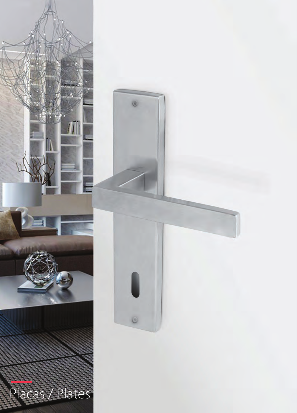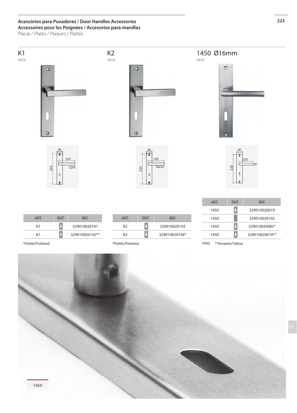### **Acessórios para Puxadores / Door Handles Accessories 223 Accessoires pour les Poignées / Accesorios para manillas**

Placas / Plates / Plaques / Plattes

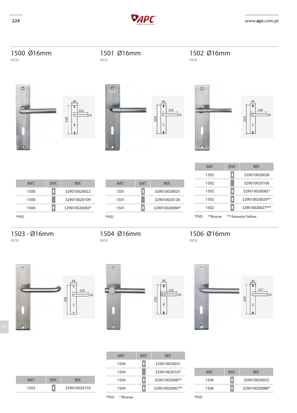



| <b>ART</b> | ENT. | REF.           |
|------------|------|----------------|
| 1504       |      | 329010020031   |
| 1504       |      | 329010020107   |
| 1504       |      | 329010020087*  |
| 1504       |      | 329010020067** |
|            |      |                |

| ART  | ENT. | <b>RFF</b>    |
|------|------|---------------|
| 1506 |      | 329010020032  |
| 1506 |      | 329010020088* |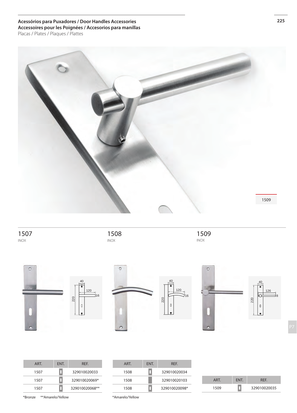**Acessórios para Puxadores / Door Handles Accessories 225 Accessoires pour les Poignées / Accesorios para manillas** Placas / Plates / Plaques / Plattes



 inox

 inox

 inox



| ART  | ENT. | REF.           |
|------|------|----------------|
| 1507 |      | 329010020033   |
| 1507 |      | 329010020069*  |
| 1507 |      | 329010020068** |

| ART  | ENT. | REF.          |
|------|------|---------------|
| 1508 |      | 329010020034  |
| 1508 |      | 329010020103  |
| 1508 |      | 329010020098* |

| ART. | <b>FNT</b> | <b>RFF</b>   |
|------|------------|--------------|
| 1509 |            | 329010020035 |

\*Bronze \*\*Amarelo/Yellow

\*Amarelo/Yellow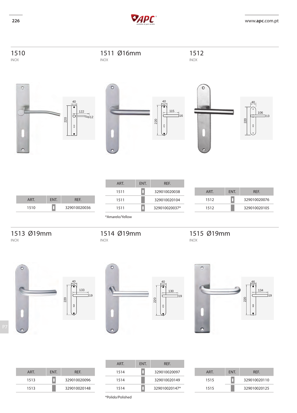



| ART. | ENT. | REF.         |
|------|------|--------------|
| 1510 |      | 329010020036 |

| ART.            | ENT. | REF.          |
|-----------------|------|---------------|
| 1511            |      | 329010020038  |
| 1511            |      | 329010020104  |
| 1511            |      | 329010020037* |
| *Amarelo/Yellow |      |               |

1514 Ø19mm

| ART  | <b>FNT</b> | <b>RFF</b>   |
|------|------------|--------------|
| 1512 |            | 329010020076 |
| 1512 |            | 329010020105 |

1515 Ø19mm

inox

# 1513 Ø19mm

inox inox







| ART. | <b>FNT</b> | <b>RFF</b>   |
|------|------------|--------------|
| 1513 |            | 329010020096 |
| 1513 |            | 329010020148 |

| ART  | ENT. | <b>RFF</b>    |
|------|------|---------------|
| 1514 |      | 329010020097  |
| 1514 |      | 329010020149  |
| 1514 |      | 329010020147* |

| ART. | ENT. | REF.         |
|------|------|--------------|
| 1515 |      | 329010020110 |
| 1515 |      | 329010020125 |

\*Polido/Polished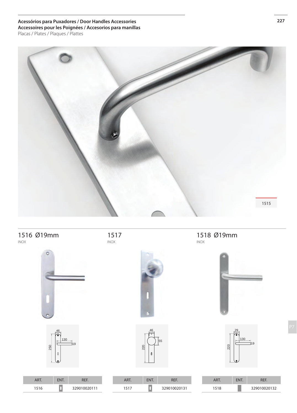**Acessórios para Puxadores / Door Handles Accessories 227 Accessoires pour les Poignées / Accesorios para manillas** Placas / Plates / Plaques / Plattes



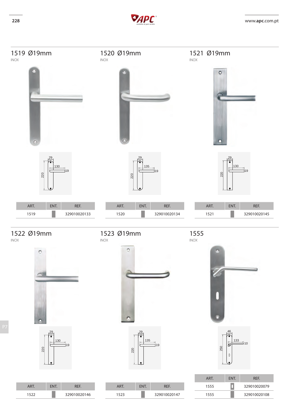



ART. ENT. REF. 1523 329010020147

 



| ART  | <b>FNT</b> | <b>RFF</b>   |
|------|------------|--------------|
| 1555 |            | 329010020079 |
| 1555 |            | 329010020108 |



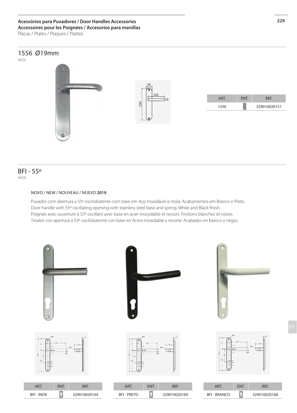## **Acessórios para Puxadores / Door Handles Accessories 229 Accessoires pour les Poignées / Accesorios para manillas**

Placas / Plates / Plaques / Plattes

## 1556 Ø19mm

inox



### inox BFI - 55º

### NOVO / NEW / Nouveau / NUEVO **2019**

Puxador com abertura a 55º oscilobatente com base em Aço Inoxidável e mola. Acabamentos em Branco e Preto. Door handle with 55º oscillating opening with stainless steel base and spring. White and Black finish. Poignée avec ouverture à 55º oscillant avec base en acier inoxydable et ressort. Finitions blanches et noires. Tirador con apertura a 55º oscilobatente con base en Acero Inoxidable y resorte. Acabados en blanco y negro.

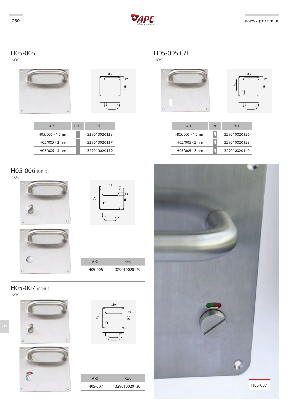





| C               |      | lo           |  |
|-----------------|------|--------------|--|
| ART.            | ENT. | REF.         |  |
| H05/005 - 1,5mm |      | 329010020136 |  |
| H05/005 - 2mm   |      | 329010020138 |  |
| H05/005 - 3mm   |      | 329010020140 |  |





H05-005 H05-005 C/E inox inox -<br>19 80 ART. ENT. REF. H05/005 - 1,5mm 329010020128 H05/005 - 2mm 329010020137 H05/005 - 3mm 329010020139

# H05-006 (S/IND.)

inox







### H05-007 (C/IND.) inox







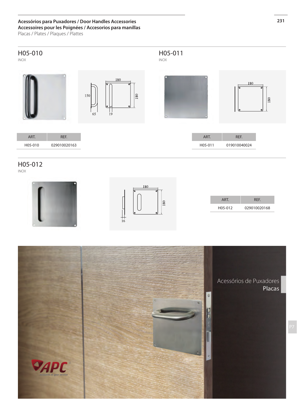# **Acessórios para Puxadores / Door Handles Accessories 231 Accessoires pour les Poignées / Accesorios para manillas**

Placas / Plates / Plaques / Plattes



H05-012

inox